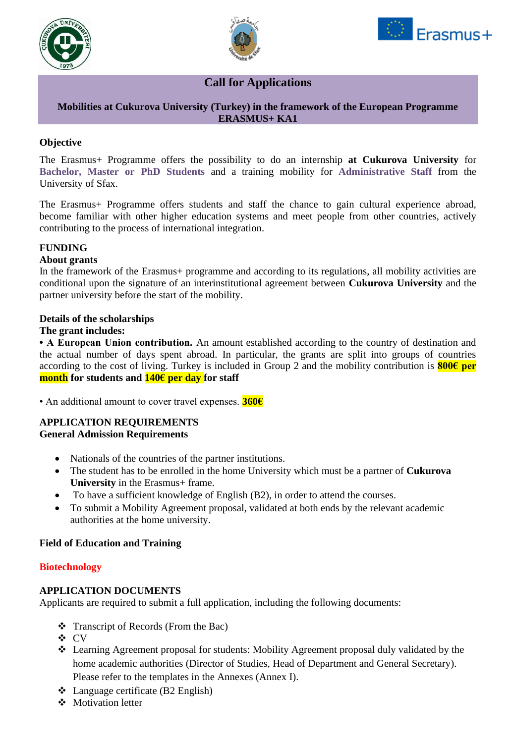





# **Call for Applications**

#### **Mobilities at Cukurova University (Turkey) in the framework of the European Programme ERASMUS+ KA1**

## **Objective**

The Erasmus+ Programme offers the possibility to do an internship **at Cukurova University** for **Bachelor, Master or PhD Students** and a training mobility for **Administrative Staff** from the University of Sfax.

The Erasmus+ Programme offers students and staff the chance to gain cultural experience abroad, become familiar with other higher education systems and meet people from other countries, actively contributing to the process of international integration.

#### **FUNDING**

#### **About grants**

In the framework of the Erasmus+ programme and according to its regulations, all mobility activities are conditional upon the signature of an interinstitutional agreement between **Cukurova University** and the partner university before the start of the mobility.

#### **Details of the scholarships**

#### **The grant includes:**

**• A European Union contribution.** An amount established according to the country of destination and the actual number of days spent abroad. In particular, the grants are split into groups of countries according to the cost of living. Turkey is included in Group 2 and the mobility contribution is **800€ per month for students and 140€ per day for staff**

• An additional amount to cover travel expenses. **360€**

#### **APPLICATION REQUIREMENTS General Admission Requirements**

- Nationals of the countries of the partner institutions.
- The student has to be enrolled in the home University which must be a partner of **Cukurova University** in the Erasmus+ frame.
- To have a sufficient knowledge of English (B2), in order to attend the courses.
- To submit a Mobility Agreement proposal, validated at both ends by the relevant academic authorities at the home university.

### **Field of Education and Training**

#### **Biotechnology**

#### **APPLICATION DOCUMENTS**

Applicants are required to submit a full application, including the following documents:

- ❖ Transcript of Records (From the Bac)
- ❖ CV
- ❖ Learning Agreement proposal for students: Mobility Agreement proposal duly validated by the home academic authorities (Director of Studies, Head of Department and General Secretary). Please refer to the templates in the Annexes (Annex I).
- ❖ Language certificate (B2 English)
- ❖ Motivation letter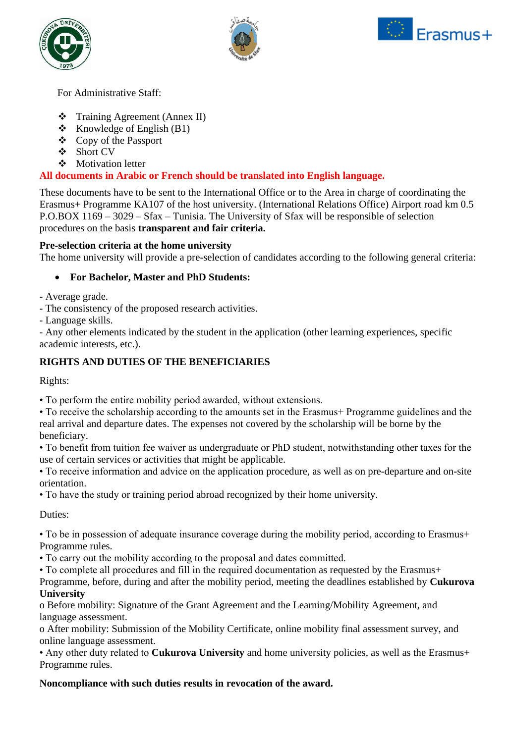





For Administrative Staff:

- ❖ Training Agreement (Annex II)
- $\triangleleft$  Knowledge of English (B1)
- ❖ Copy of the Passport
- ❖ Short CV
- ❖ Motivation letter

# **All documents in Arabic or French should be translated into English language.**

These documents have to be sent to the International Office or to the Area in charge of coordinating the Erasmus+ Programme KA107 of the host university. (International Relations Office) Airport road km 0.5 P.O.BOX 1169 – 3029 – Sfax – Tunisia. The University of Sfax will be responsible of selection procedures on the basis **transparent and fair criteria.**

### **Pre-selection criteria at the home university**

The home university will provide a pre-selection of candidates according to the following general criteria:

## • **For Bachelor, Master and PhD Students:**

- Average grade.

- The consistency of the proposed research activities.

- Language skills.

- Any other elements indicated by the student in the application (other learning experiences, specific academic interests, etc.).

# **RIGHTS AND DUTIES OF THE BENEFICIARIES**

Rights:

• To perform the entire mobility period awarded, without extensions.

• To receive the scholarship according to the amounts set in the Erasmus+ Programme guidelines and the real arrival and departure dates. The expenses not covered by the scholarship will be borne by the beneficiary.

• To benefit from tuition fee waiver as undergraduate or PhD student, notwithstanding other taxes for the use of certain services or activities that might be applicable.

• To receive information and advice on the application procedure, as well as on pre-departure and on-site orientation.

• To have the study or training period abroad recognized by their home university.

Duties:

• To be in possession of adequate insurance coverage during the mobility period, according to Erasmus+ Programme rules.

• To carry out the mobility according to the proposal and dates committed.

• To complete all procedures and fill in the required documentation as requested by the Erasmus+

Programme, before, during and after the mobility period, meeting the deadlines established by **Cukurova University**

o Before mobility: Signature of the Grant Agreement and the Learning/Mobility Agreement, and language assessment.

o After mobility: Submission of the Mobility Certificate, online mobility final assessment survey, and online language assessment.

• Any other duty related to **Cukurova University** and home university policies, as well as the Erasmus+ Programme rules.

### **Noncompliance with such duties results in revocation of the award.**